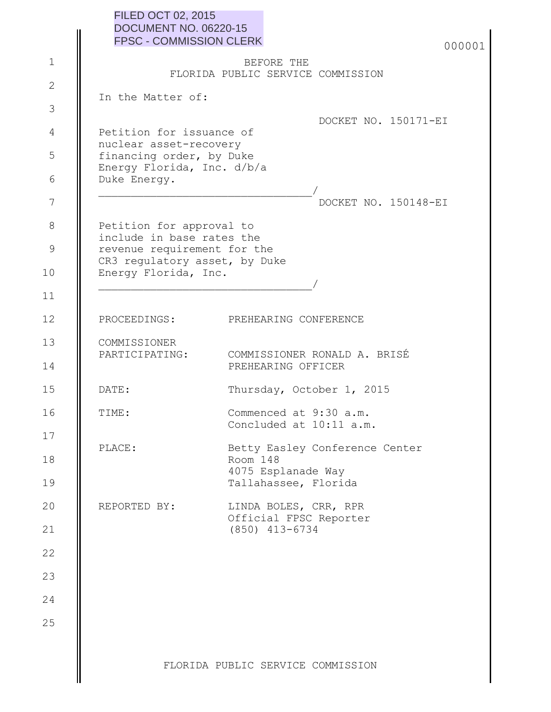|                | <b>FILED OCT 02, 2015</b><br><b>DOCUMENT NO. 06220-15</b>                            |                                                   |  |
|----------------|--------------------------------------------------------------------------------------|---------------------------------------------------|--|
|                | <b>FPSC - COMMISSION CLERK</b>                                                       | 000001                                            |  |
| $\mathbf 1$    |                                                                                      | BEFORE THE<br>FLORIDA PUBLIC SERVICE COMMISSION   |  |
| $\overline{2}$ |                                                                                      |                                                   |  |
| 3              | In the Matter of:                                                                    |                                                   |  |
| 4              | Petition for issuance of                                                             | DOCKET NO. 150171-EI                              |  |
| 5              | nuclear asset-recovery<br>financing order, by Duke                                   |                                                   |  |
| 6              | Energy Florida, Inc. d/b/a<br>Duke Energy.                                           |                                                   |  |
| 7              |                                                                                      | DOCKET NO. 150148-EI                              |  |
| $8\,$          |                                                                                      |                                                   |  |
| 9              | Petition for approval to<br>include in base rates the<br>revenue requirement for the |                                                   |  |
| 10             | CR3 regulatory asset, by Duke                                                        |                                                   |  |
|                | Energy Florida, Inc.                                                                 |                                                   |  |
| 11             |                                                                                      |                                                   |  |
| 12             | PROCEEDINGS:                                                                         | PREHEARING CONFERENCE                             |  |
| 13             | COMMISSIONER<br>PARTICIPATING:                                                       | COMMISSIONER RONALD A. BRISÉ                      |  |
| 14             |                                                                                      | PREHEARING OFFICER                                |  |
| 15             | DATE:                                                                                | Thursday, October 1, 2015                         |  |
| 16             | TIME:                                                                                | Commenced at 9:30 a.m.<br>Concluded at 10:11 a.m. |  |
| 17             | PLACE:                                                                               | Betty Easley Conference Center                    |  |
| 18             |                                                                                      | Room 148<br>4075 Esplanade Way                    |  |
| 19             |                                                                                      | Tallahassee, Florida                              |  |
| 20             | REPORTED BY:                                                                         | LINDA BOLES, CRR, RPR<br>Official FPSC Reporter   |  |
| 21             |                                                                                      | $(850)$ 413-6734                                  |  |
| 22             |                                                                                      |                                                   |  |
| 23             |                                                                                      |                                                   |  |
| 24             |                                                                                      |                                                   |  |
| 25             |                                                                                      |                                                   |  |
|                |                                                                                      |                                                   |  |
|                |                                                                                      | FLORIDA PUBLIC SERVICE COMMISSION                 |  |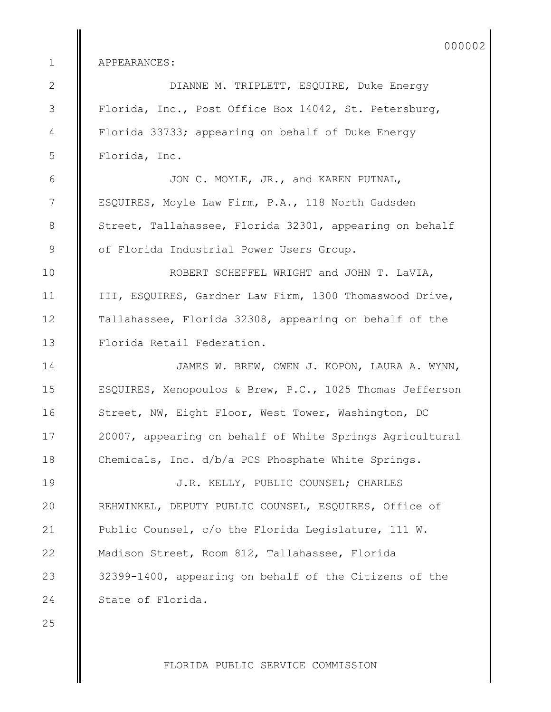APPEARANCES:

 DIANNE M. TRIPLETT, ESQUIRE, Duke Energy Florida, Inc., Post Office Box 14042, St. Petersburg, Florida 33733; appearing on behalf of Duke Energy Florida, Inc.

 JON C. MOYLE, JR., and KAREN PUTNAL, ESQUIRES, Moyle Law Firm, P.A., 118 North Gadsden Street, Tallahassee, Florida 32301, appearing on behalf of Florida Industrial Power Users Group.

 ROBERT SCHEFFEL WRIGHT and JOHN T. LaVIA, III, ESQUIRES, Gardner Law Firm, 1300 Thomaswood Drive, Tallahassee, Florida 32308, appearing on behalf of the Florida Retail Federation.

 JAMES W. BREW, OWEN J. KOPON, LAURA A. WYNN, ESQUIRES, Xenopoulos & Brew, P.C., 1025 Thomas Jefferson Street, NW, Eight Floor, West Tower, Washington, DC 20007, appearing on behalf of White Springs Agricultural Chemicals, Inc. d/b/a PCS Phosphate White Springs.

 J.R. KELLY, PUBLIC COUNSEL; CHARLES REHWINKEL, DEPUTY PUBLIC COUNSEL, ESQUIRES, Office of Public Counsel, c/o the Florida Legislature, 111 W. Madison Street, Room 812, Tallahassee, Florida 32399-1400, appearing on behalf of the Citizens of the State of Florida.

FLORIDA PUBLIC SERVICE COMMISSION

 1 2

3

4

5

6

7

8

9

10

11

12

13

14

15

16

17

18

19

20

21

22

23

24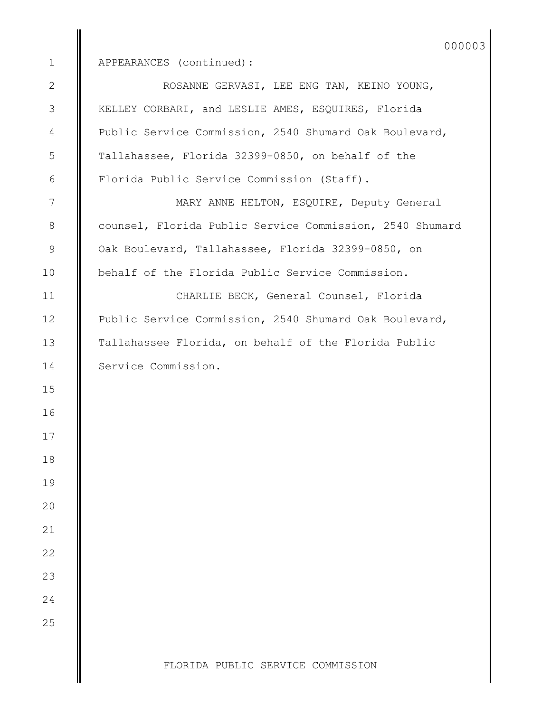APPEARANCES (continued): ROSANNE GERVASI, LEE ENG TAN, KEINO YOUNG, KELLEY CORBARI, and LESLIE AMES, ESQUIRES, Florida Public Service Commission, 2540 Shumard Oak Boulevard, Tallahassee, Florida 32399-0850, on behalf of the Florida Public Service Commission (Staff). MARY ANNE HELTON, ESQUIRE, Deputy General counsel, Florida Public Service Commission, 2540 Shumard Oak Boulevard, Tallahassee, Florida 32399-0850, on

 CHARLIE BECK, General Counsel, Florida Public Service Commission, 2540 Shumard Oak Boulevard, Tallahassee Florida, on behalf of the Florida Public Service Commission.

behalf of the Florida Public Service Commission.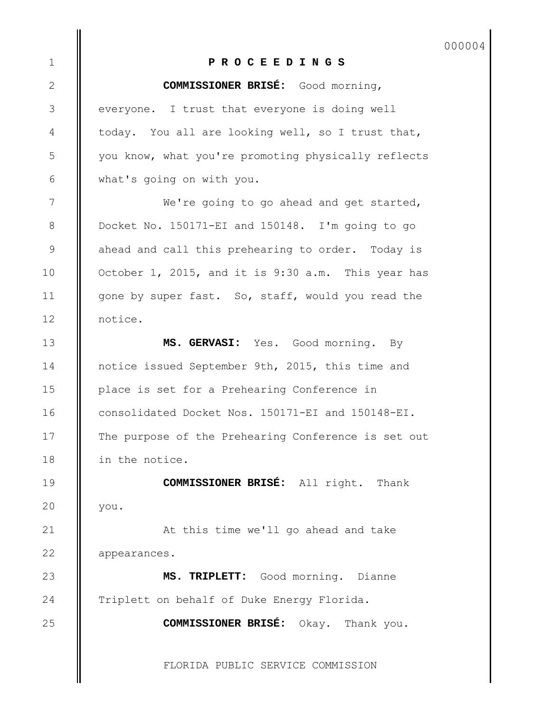000004

## **P R O C E E D I N G S**

**COMMISSIONER BRISÉ:** Good morning,

everyone. I trust that everyone is doing well today. You all are looking well, so I trust that, you know, what you're promoting physically reflects what's going on with you.

1

2

3

4

5

6

7

8

9

10

11

12

13

14

15

16

17

18

19

20

21

22

23

24

25

We're going to go ahead and get started, Docket No. 150171-EI and 150148. I'm going to go ahead and call this prehearing to order. Today is October 1, 2015, and it is 9:30 a.m. This year has gone by super fast. So, staff, would you read the notice.

**MS. GERVASI:** Yes. Good morning. By notice issued September 9th, 2015, this time and place is set for a Prehearing Conference in consolidated Docket Nos. 150171-EI and 150148-EI. The purpose of the Prehearing Conference is set out in the notice.

**COMMISSIONER BRISÉ:** All right. Thank you.

At this time we'll go ahead and take appearances.

**MS. TRIPLETT:** Good morning. Dianne Triplett on behalf of Duke Energy Florida.

**COMMISSIONER BRISÉ:** Okay. Thank you.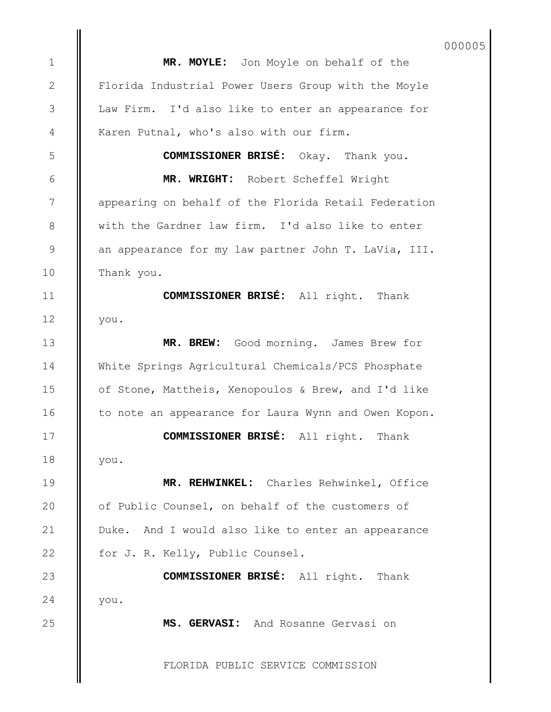000005

**MR. MOYLE:** Jon Moyle on behalf of the Florida Industrial Power Users Group with the Moyle Law Firm. I'd also like to enter an appearance for Karen Putnal, who's also with our firm.

**COMMISSIONER BRISÉ:** Okay. Thank you.

**MR. WRIGHT:** Robert Scheffel Wright appearing on behalf of the Florida Retail Federation with the Gardner law firm. I'd also like to enter an appearance for my law partner John T. LaVia, III. Thank you.

**COMMISSIONER BRISÉ:** All right. Thank you.

**MR. BREW:** Good morning. James Brew for White Springs Agricultural Chemicals/PCS Phosphate of Stone, Mattheis, Xenopoulos & Brew, and I'd like to note an appearance for Laura Wynn and Owen Kopon.

**COMMISSIONER BRISÉ:** All right. Thank you.

**MR. REHWINKEL:** Charles Rehwinkel, Office of Public Counsel, on behalf of the customers of Duke. And I would also like to enter an appearance for J. R. Kelly, Public Counsel.

**COMMISSIONER BRISÉ:** All right. Thank you.

**MS. GERVASI:** And Rosanne Gervasi on

FLORIDA PUBLIC SERVICE COMMISSION

24

25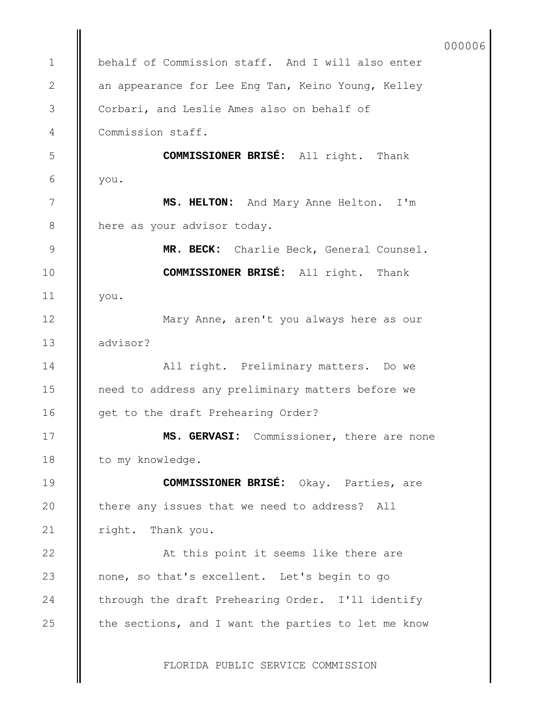FLORIDA PUBLIC SERVICE COMMISSION behalf of Commission staff. And I will also enter an appearance for Lee Eng Tan, Keino Young, Kelley Corbari, and Leslie Ames also on behalf of Commission staff. **COMMISSIONER BRISÉ:** All right. Thank you. **MS. HELTON:** And Mary Anne Helton. I'm here as your advisor today. **MR. BECK:** Charlie Beck, General Counsel. **COMMISSIONER BRISÉ:** All right. Thank you. Mary Anne, aren't you always here as our advisor? All right. Preliminary matters. Do we need to address any preliminary matters before we get to the draft Prehearing Order? **MS. GERVASI:** Commissioner, there are none to my knowledge. **COMMISSIONER BRISÉ:** Okay. Parties, are there any issues that we need to address? All right. Thank you. At this point it seems like there are none, so that's excellent. Let's begin to go through the draft Prehearing Order. I'll identify the sections, and I want the parties to let me know 1 2 3 4 5 6 7 8 9 10 11 12 13 14 15 16 17 18 19 20 21 22 23 24 25 000006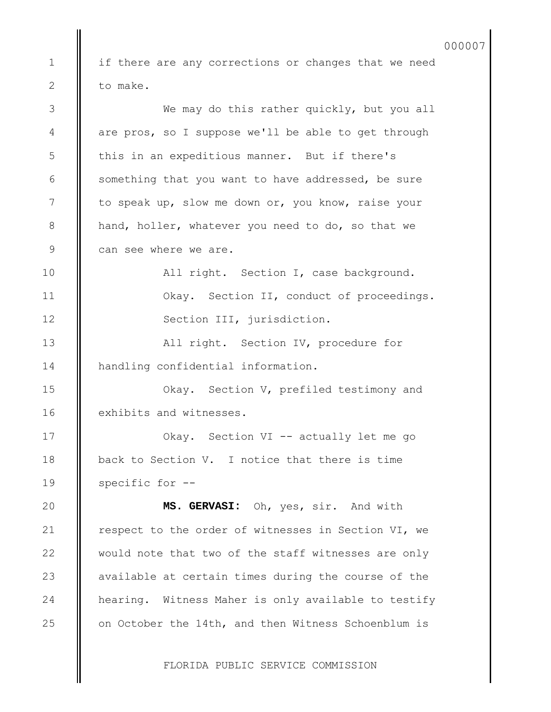if there are any corrections or changes that we need to make. We may do this rather quickly, but you all are pros, so I suppose we'll be able to get through this in an expeditious manner. But if there's something that you want to have addressed, be sure to speak up, slow me down or, you know, raise your hand, holler, whatever you need to do, so that we can see where we are. All right. Section I, case background. Okay. Section II, conduct of proceedings. Section III, jurisdiction. All right. Section IV, procedure for handling confidential information. Okay. Section V, prefiled testimony and exhibits and witnesses. Okay. Section VI -- actually let me go back to Section V. I notice that there is time specific for -- **MS. GERVASI:** Oh, yes, sir. And with respect to the order of witnesses in Section VI, we would note that two of the staff witnesses are only available at certain times during the course of the hearing. Witness Maher is only available to testify on October the 14th, and then Witness Schoenblum is 1 2 3 4 5 6 7 8 9 10 11 12 13 14 15 16 17 18 19 20 21 22 23 24 25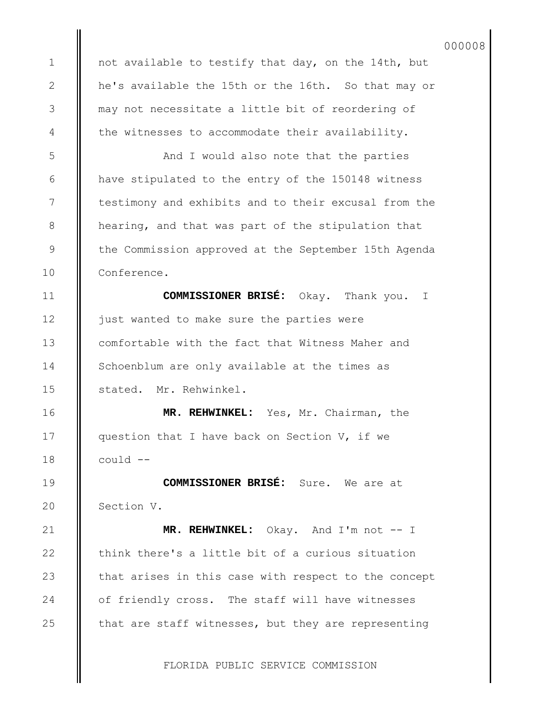not available to testify that day, on the 14th, but he's available the 15th or the 16th. So that may or may not necessitate a little bit of reordering of the witnesses to accommodate their availability.

1

2

3

4

5

6

7

8

9

10

11

12

13

14

15

16

17

18

19

20

21

22

23

24

25

And I would also note that the parties have stipulated to the entry of the 150148 witness testimony and exhibits and to their excusal from the hearing, and that was part of the stipulation that the Commission approved at the September 15th Agenda Conference.

**COMMISSIONER BRISÉ:** Okay. Thank you. I just wanted to make sure the parties were comfortable with the fact that Witness Maher and Schoenblum are only available at the times as stated. Mr. Rehwinkel.

**MR. REHWINKEL:** Yes, Mr. Chairman, the question that I have back on Section V, if we could --

**COMMISSIONER BRISÉ:** Sure. We are at Section V.

**MR. REHWINKEL:** Okay. And I'm not -- I think there's a little bit of a curious situation that arises in this case with respect to the concept of friendly cross. The staff will have witnesses that are staff witnesses, but they are representing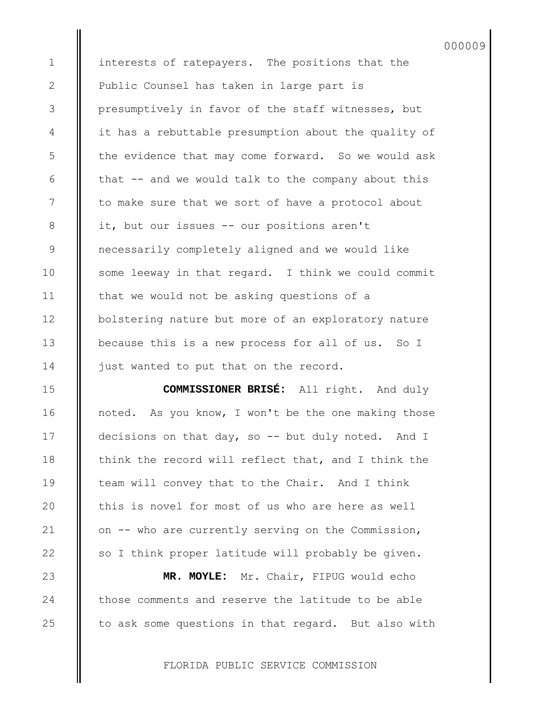interests of ratepayers. The positions that the Public Counsel has taken in large part is presumptively in favor of the staff witnesses, but it has a rebuttable presumption about the quality of the evidence that may come forward. So we would ask that -- and we would talk to the company about this to make sure that we sort of have a protocol about it, but our issues -- our positions aren't necessarily completely aligned and we would like some leeway in that regard. I think we could commit that we would not be asking questions of a bolstering nature but more of an exploratory nature because this is a new process for all of us. So I just wanted to put that on the record.

000009

**COMMISSIONER BRISÉ:** All right. And duly noted. As you know, I won't be the one making those decisions on that day, so -- but duly noted. And I think the record will reflect that, and I think the team will convey that to the Chair. And I think this is novel for most of us who are here as well on -- who are currently serving on the Commission, so I think proper latitude will probably be given.

**MR. MOYLE:** Mr. Chair, FIPUG would echo those comments and reserve the latitude to be able to ask some questions in that regard. But also with

FLORIDA PUBLIC SERVICE COMMISSION

25

1

2

3

4

5

6

7

8

9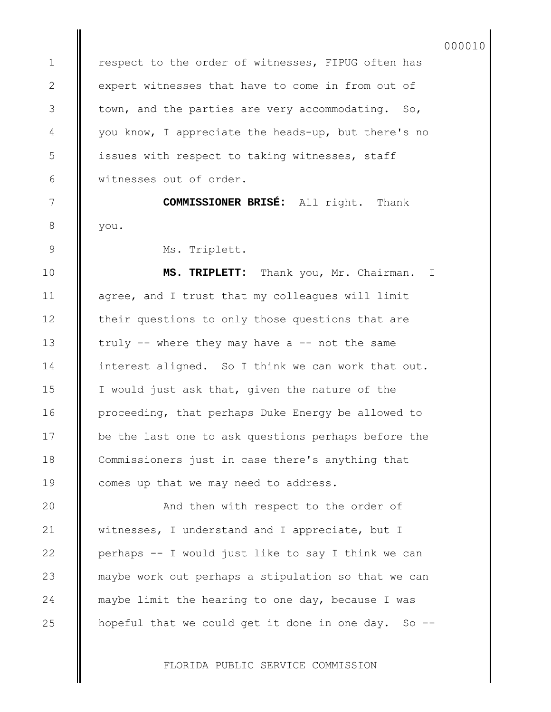respect to the order of witnesses, FIPUG often has expert witnesses that have to come in from out of town, and the parties are very accommodating. So, you know, I appreciate the heads-up, but there's no issues with respect to taking witnesses, staff witnesses out of order.

**COMMISSIONER BRISÉ:** All right. Thank you.

Ms. Triplett.

1

2

3

4

5

6

7

8

9

10

11

12

13

14

15

16

17

18

19

20

21

22

23

24

25

**MS. TRIPLETT:** Thank you, Mr. Chairman. I agree, and I trust that my colleagues will limit their questions to only those questions that are truly  $--$  where they may have a  $--$  not the same interest aligned. So I think we can work that out. I would just ask that, given the nature of the proceeding, that perhaps Duke Energy be allowed to be the last one to ask questions perhaps before the Commissioners just in case there's anything that comes up that we may need to address.

And then with respect to the order of witnesses, I understand and I appreciate, but I perhaps -- I would just like to say I think we can maybe work out perhaps a stipulation so that we can maybe limit the hearing to one day, because I was hopeful that we could get it done in one day. So  $-$ -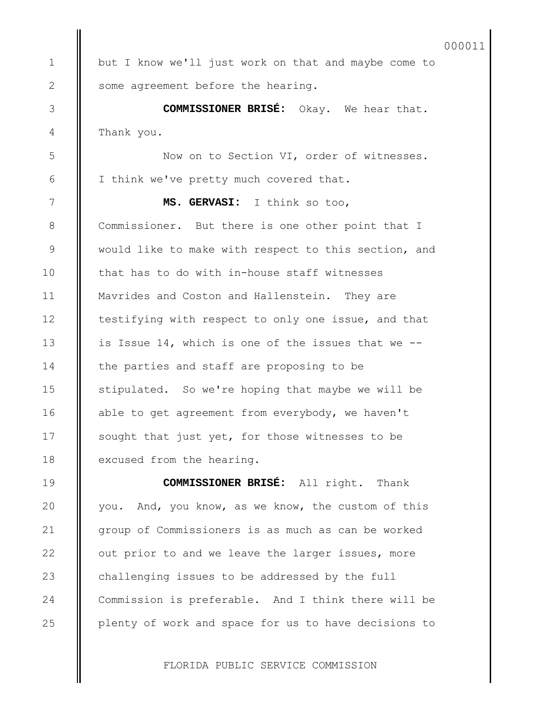but I know we'll just work on that and maybe come to some agreement before the hearing.

1

2

3

4

5

6

7

8

9

10

11

12

13

14

15

16

17

18

19

20

21

22

23

24

25

**COMMISSIONER BRISÉ:** Okay. We hear that. Thank you.

Now on to Section VI, order of witnesses. I think we've pretty much covered that.

**MS. GERVASI:** I think so too, Commissioner. But there is one other point that I would like to make with respect to this section, and that has to do with in-house staff witnesses Mavrides and Coston and Hallenstein. They are testifying with respect to only one issue, and that is Issue 14, which is one of the issues that we - the parties and staff are proposing to be stipulated. So we're hoping that maybe we will be able to get agreement from everybody, we haven't sought that just yet, for those witnesses to be excused from the hearing.

**COMMISSIONER BRISÉ:** All right. Thank you. And, you know, as we know, the custom of this group of Commissioners is as much as can be worked out prior to and we leave the larger issues, more challenging issues to be addressed by the full Commission is preferable. And I think there will be plenty of work and space for us to have decisions to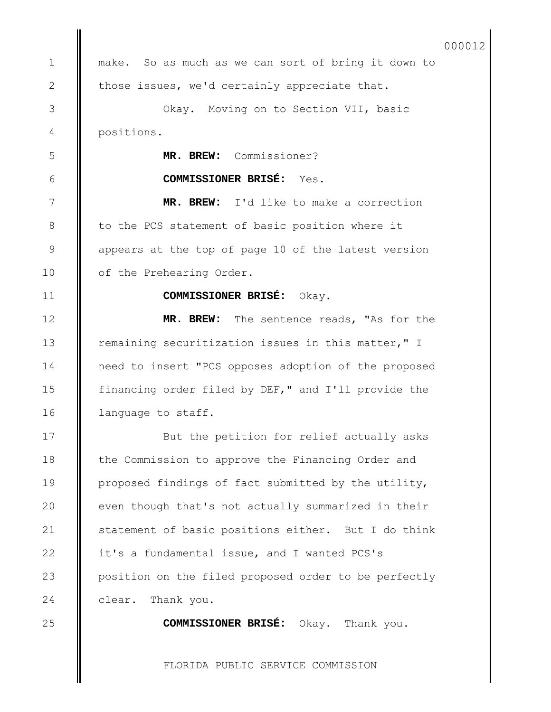make. So as much as we can sort of bring it down to those issues, we'd certainly appreciate that. Okay. Moving on to Section VII, basic positions. **MR. BREW:** Commissioner? **COMMISSIONER BRISÉ:** Yes. **MR. BREW:** I'd like to make a correction to the PCS statement of basic position where it appears at the top of page 10 of the latest version of the Prehearing Order. **COMMISSIONER BRISÉ:** Okay. **MR. BREW:** The sentence reads, "As for the remaining securitization issues in this matter," I need to insert "PCS opposes adoption of the proposed financing order filed by DEF," and I'll provide the language to staff. But the petition for relief actually asks the Commission to approve the Financing Order and proposed findings of fact submitted by the utility, even though that's not actually summarized in their statement of basic positions either. But I do think it's a fundamental issue, and I wanted PCS's position on the filed proposed order to be perfectly clear. Thank you. **COMMISSIONER BRISÉ:** Okay. Thank you. 1 2 3 4 5 6 7 8 9 10 11 12 13 14 15 16 17 18 19 20 21 22 23 24 25 000012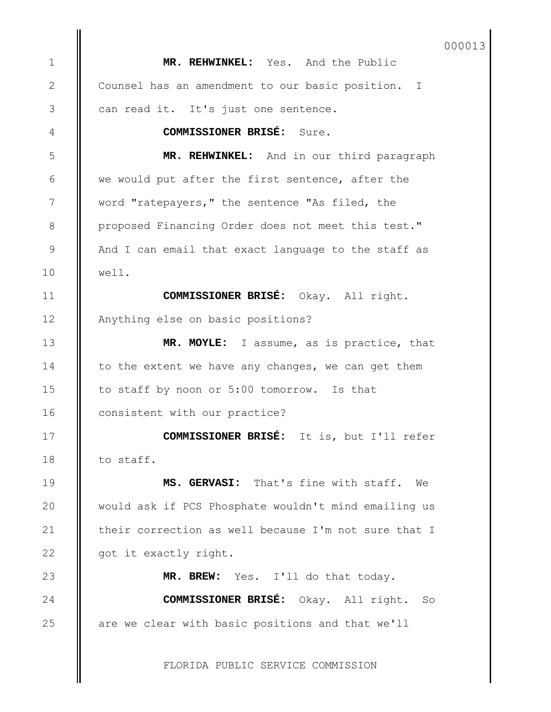**MR. REHWINKEL:** Yes. And the Public Counsel has an amendment to our basic position. I can read it. It's just one sentence. **COMMISSIONER BRISÉ:** Sure. **MR. REHWINKEL:** And in our third paragraph we would put after the first sentence, after the word "ratepayers," the sentence "As filed, the proposed Financing Order does not meet this test." And I can email that exact language to the staff as well. **COMMISSIONER BRISÉ:** Okay. All right. Anything else on basic positions? **MR. MOYLE:** I assume, as is practice, that to the extent we have any changes, we can get them to staff by noon or 5:00 tomorrow. Is that consistent with our practice? **COMMISSIONER BRISÉ:** It is, but I'll refer to staff. **MS. GERVASI:** That's fine with staff. We would ask if PCS Phosphate wouldn't mind emailing us their correction as well because I'm not sure that I got it exactly right. **MR. BREW:** Yes. I'll do that today. **COMMISSIONER BRISÉ:** Okay. All right. So are we clear with basic positions and that we'll 1 2 3 4 5 6 7 8 9 10 11 12 13 14 15 16 17 18 19 20 21 22 23 24 25 000013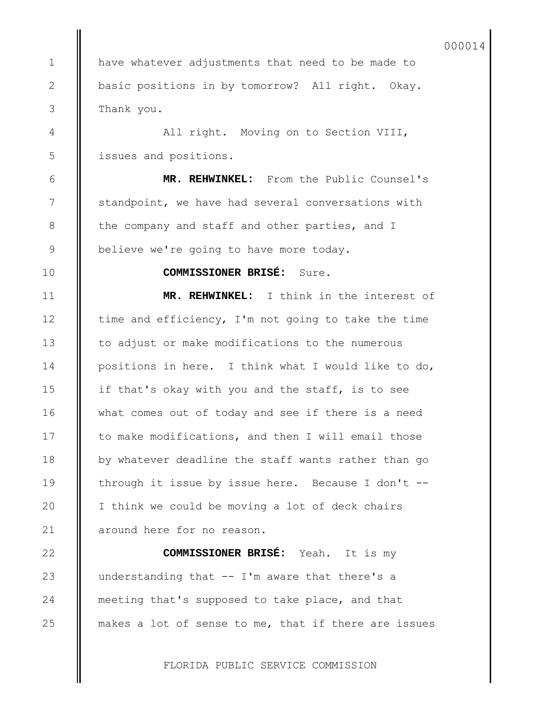have whatever adjustments that need to be made to basic positions in by tomorrow? All right. Okay. Thank you.

1

2

3

4

5

6

7

8

9

10

11

12

13

14

15

16

17

18

19

20

21

22

23

24

25

All right. Moving on to Section VIII, issues and positions.

**MR. REHWINKEL:** From the Public Counsel's standpoint, we have had several conversations with the company and staff and other parties, and I believe we're going to have more today.

**COMMISSIONER BRISÉ:** Sure.

**MR. REHWINKEL:** I think in the interest of time and efficiency, I'm not going to take the time to adjust or make modifications to the numerous positions in here. I think what I would like to do, if that's okay with you and the staff, is to see what comes out of today and see if there is a need to make modifications, and then I will email those by whatever deadline the staff wants rather than go through it issue by issue here. Because I don't -- I think we could be moving a lot of deck chairs around here for no reason.

**COMMISSIONER BRISÉ:** Yeah. It is my understanding that -- I'm aware that there's a meeting that's supposed to take place, and that makes a lot of sense to me, that if there are issues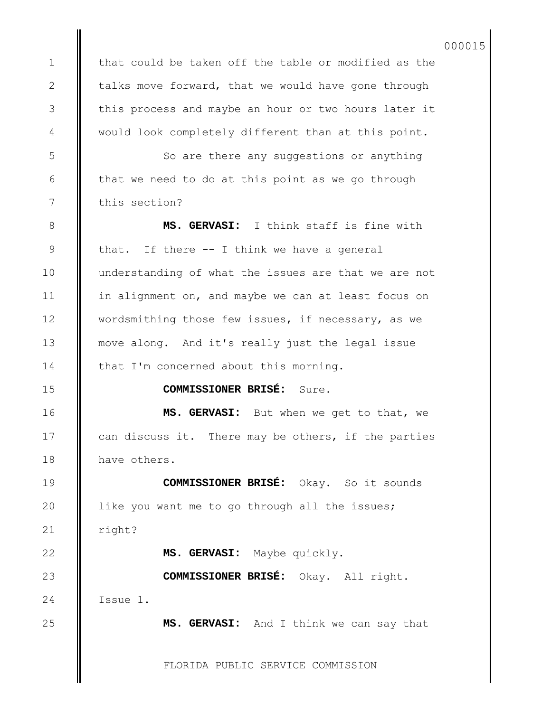that could be taken off the table or modified as the talks move forward, that we would have gone through this process and maybe an hour or two hours later it would look completely different than at this point.

1

2

3

4

5

6

7

8

9

10

11

12

13

14

15

16

17

18

19

20

21

22

23

24

25

So are there any suggestions or anything that we need to do at this point as we go through this section?

**MS. GERVASI:** I think staff is fine with that. If there -- I think we have a general understanding of what the issues are that we are not in alignment on, and maybe we can at least focus on wordsmithing those few issues, if necessary, as we move along. And it's really just the legal issue that I'm concerned about this morning.

**COMMISSIONER BRISÉ:** Sure.

**MS. GERVASI:** But when we get to that, we can discuss it. There may be others, if the parties have others.

**COMMISSIONER BRISÉ:** Okay. So it sounds like you want me to go through all the issues; right?

**MS. GERVASI:** Maybe quickly.

**COMMISSIONER BRISÉ:** Okay. All right. Issue 1.

**MS. GERVASI:** And I think we can say that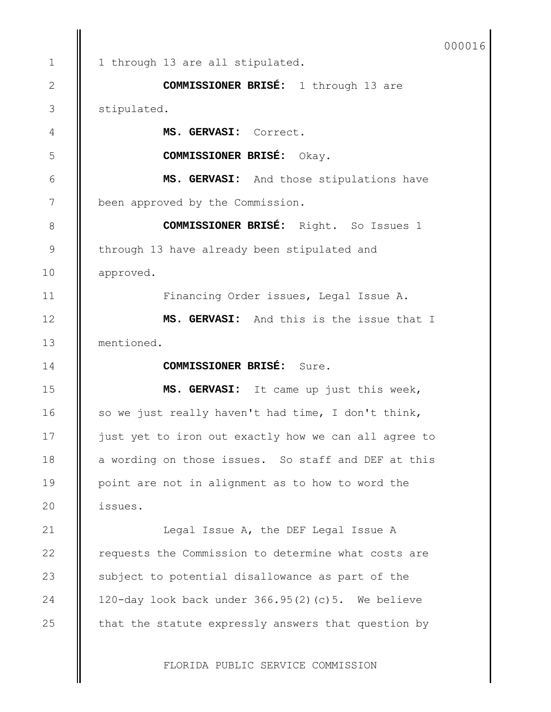| 000016 |
|--------|
|--------|

1 through 13 are all stipulated. **COMMISSIONER BRISÉ:** 1 through 13 are stipulated. **MS. GERVASI:** Correct. **COMMISSIONER BRISÉ:** Okay. **MS. GERVASI:** And those stipulations have been approved by the Commission. **COMMISSIONER BRISÉ:** Right. So Issues 1 through 13 have already been stipulated and approved. Financing Order issues, Legal Issue A. **MS. GERVASI:** And this is the issue that I mentioned. **COMMISSIONER BRISÉ:** Sure. **MS. GERVASI:** It came up just this week, so we just really haven't had time, I don't think, just yet to iron out exactly how we can all agree to a wording on those issues. So staff and DEF at this point are not in alignment as to how to word the issues. Legal Issue A, the DEF Legal Issue A requests the Commission to determine what costs are subject to potential disallowance as part of the 120-day look back under 366.95(2)(c)5. We believe that the statute expressly answers that question by 1 2 3 4 5 6 7 8 9 10 11 12 13 14 15 16 17 18 19 20 21 22 23 24 25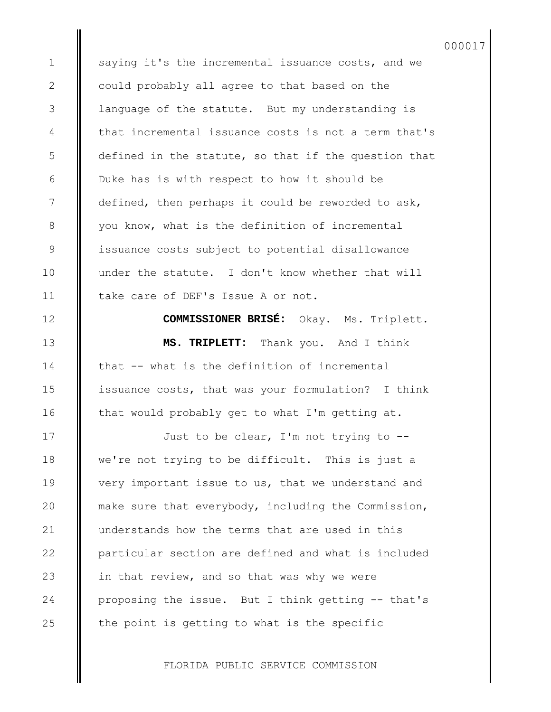saying it's the incremental issuance costs, and we could probably all agree to that based on the language of the statute. But my understanding is that incremental issuance costs is not a term that's defined in the statute, so that if the question that Duke has is with respect to how it should be defined, then perhaps it could be reworded to ask, you know, what is the definition of incremental issuance costs subject to potential disallowance under the statute. I don't know whether that will take care of DEF's Issue A or not.

1

2

3

4

5

6

7

8

9

10

11

12

13

14

15

16

17

18

19

20

21

22

23

24

25

**COMMISSIONER BRISÉ:** Okay. Ms. Triplett. **MS. TRIPLETT:** Thank you. And I think that -- what is the definition of incremental issuance costs, that was your formulation? I think that would probably get to what I'm getting at.

Just to be clear, I'm not trying to - we're not trying to be difficult. This is just a very important issue to us, that we understand and make sure that everybody, including the Commission, understands how the terms that are used in this particular section are defined and what is included in that review, and so that was why we were proposing the issue. But I think getting -- that's the point is getting to what is the specific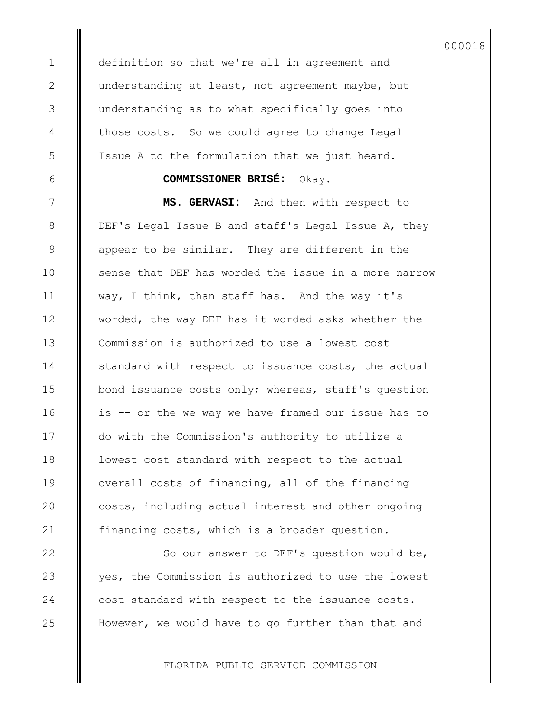definition so that we're all in agreement and understanding at least, not agreement maybe, but understanding as to what specifically goes into those costs. So we could agree to change Legal Issue A to the formulation that we just heard.

## **COMMISSIONER BRISÉ:** Okay.

**MS. GERVASI:** And then with respect to DEF's Legal Issue B and staff's Legal Issue A, they appear to be similar. They are different in the sense that DEF has worded the issue in a more narrow way, I think, than staff has. And the way it's worded, the way DEF has it worded asks whether the Commission is authorized to use a lowest cost standard with respect to issuance costs, the actual bond issuance costs only; whereas, staff's question is -- or the we way we have framed our issue has to do with the Commission's authority to utilize a lowest cost standard with respect to the actual overall costs of financing, all of the financing costs, including actual interest and other ongoing financing costs, which is a broader question.

So our answer to DEF's question would be, yes, the Commission is authorized to use the lowest cost standard with respect to the issuance costs. However, we would have to go further than that and

FLORIDA PUBLIC SERVICE COMMISSION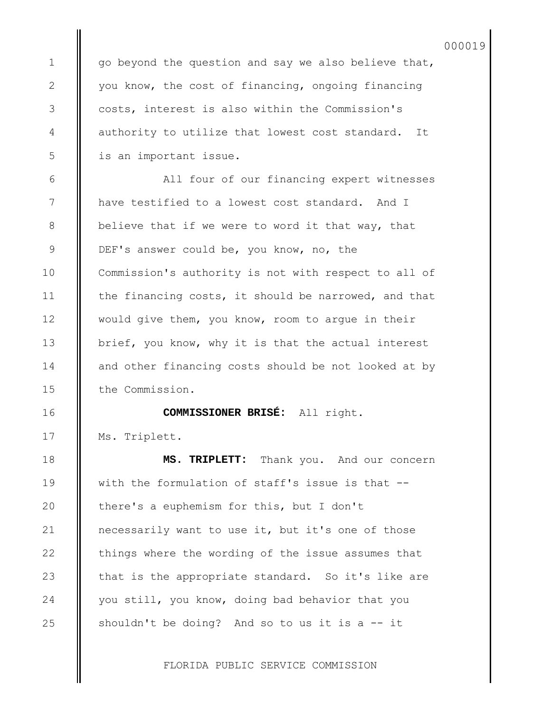go beyond the question and say we also believe that, you know, the cost of financing, ongoing financing costs, interest is also within the Commission's authority to utilize that lowest cost standard. It is an important issue.

1

2

3

4

5

6

7

8

9

10

11

12

13

14

15

16

17

18

19

20

21

22

23

24

25

All four of our financing expert witnesses have testified to a lowest cost standard. And I believe that if we were to word it that way, that DEF's answer could be, you know, no, the Commission's authority is not with respect to all of the financing costs, it should be narrowed, and that would give them, you know, room to argue in their brief, you know, why it is that the actual interest and other financing costs should be not looked at by the Commission.

**COMMISSIONER BRISÉ:** All right. Ms. Triplett.

**MS. TRIPLETT:** Thank you. And our concern with the formulation of staff's issue is that - there's a euphemism for this, but I don't necessarily want to use it, but it's one of those things where the wording of the issue assumes that that is the appropriate standard. So it's like are you still, you know, doing bad behavior that you shouldn't be doing? And so to us it is a -- it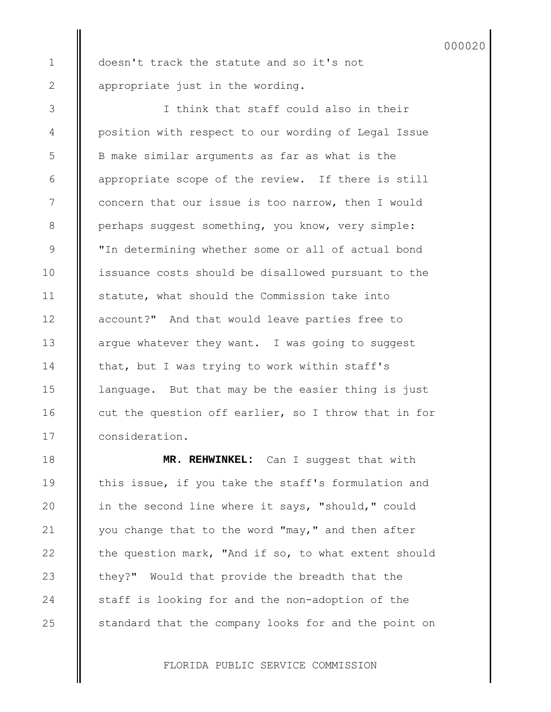doesn't track the statute and so it's not appropriate just in the wording.

1

2

3

4

5

6

7

8

9

10

11

12

13

14

15

16

17

18

19

20

21

22

23

24

25

I think that staff could also in their position with respect to our wording of Legal Issue B make similar arguments as far as what is the appropriate scope of the review. If there is still concern that our issue is too narrow, then I would perhaps suggest something, you know, very simple: "In determining whether some or all of actual bond issuance costs should be disallowed pursuant to the statute, what should the Commission take into account?" And that would leave parties free to argue whatever they want. I was going to suggest that, but I was trying to work within staff's language. But that may be the easier thing is just cut the question off earlier, so I throw that in for consideration.

**MR. REHWINKEL:** Can I suggest that with this issue, if you take the staff's formulation and in the second line where it says, "should," could you change that to the word "may," and then after the question mark, "And if so, to what extent should they?" Would that provide the breadth that the staff is looking for and the non-adoption of the standard that the company looks for and the point on

FLORIDA PUBLIC SERVICE COMMISSION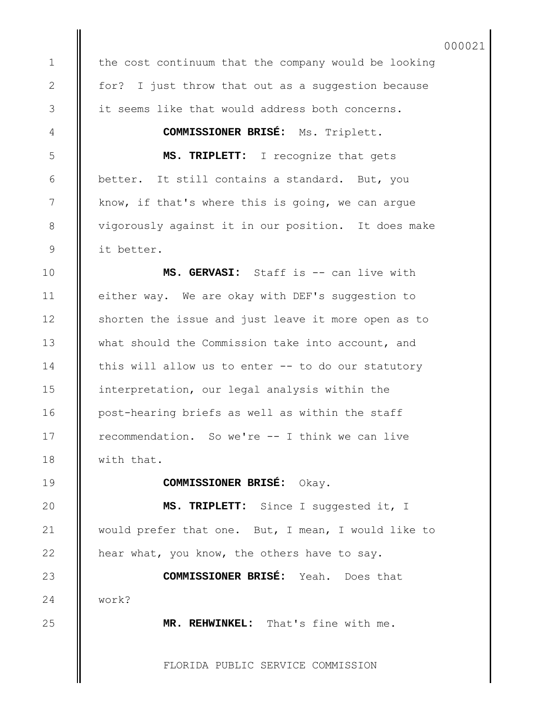the cost continuum that the company would be looking for? I just throw that out as a suggestion because it seems like that would address both concerns.

**COMMISSIONER BRISÉ:** Ms. Triplett.

**MS. TRIPLETT:** I recognize that gets better. It still contains a standard. But, you know, if that's where this is going, we can argue vigorously against it in our position. It does make it better.

**MS. GERVASI:** Staff is -- can live with either way. We are okay with DEF's suggestion to shorten the issue and just leave it more open as to what should the Commission take into account, and this will allow us to enter -- to do our statutory interpretation, our legal analysis within the post-hearing briefs as well as within the staff recommendation. So we're -- I think we can live with that.

## **COMMISSIONER BRISÉ:** Okay.

**MS. TRIPLETT:** Since I suggested it, I would prefer that one. But, I mean, I would like to hear what, you know, the others have to say.

**COMMISSIONER BRISÉ:** Yeah. Does that work?

**MR. REHWINKEL:** That's fine with me.

FLORIDA PUBLIC SERVICE COMMISSION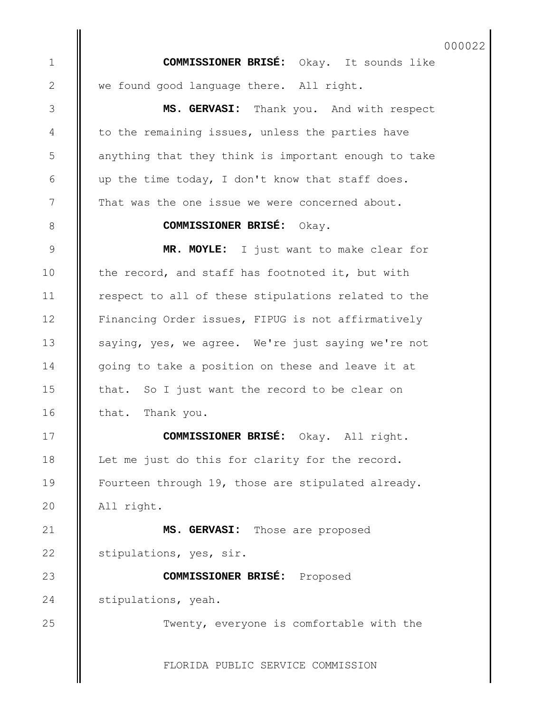**COMMISSIONER BRISÉ:** Okay. It sounds like we found good language there. All right. **MS. GERVASI:** Thank you. And with respect

1

2

3

4

5

6

7

8

9

10

11

12

13

14

15

16

17

18

19

 $20$ 

23

24

25

to the remaining issues, unless the parties have anything that they think is important enough to take up the time today, I don't know that staff does. That was the one issue we were concerned about.

#### **COMMISSIONER BRISÉ:** Okay.

**MR. MOYLE:** I just want to make clear for the record, and staff has footnoted it, but with respect to all of these stipulations related to the Financing Order issues, FIPUG is not affirmatively saying, yes, we agree. We're just saying we're not going to take a position on these and leave it at that. So I just want the record to be clear on that. Thank you.

**COMMISSIONER BRISÉ:** Okay. All right. Let me just do this for clarity for the record. Fourteen through 19, those are stipulated already. All right.

**MS. GERVASI:** Those are proposed stipulations, yes, sir. 21 22

**COMMISSIONER BRISÉ:** Proposed stipulations, yeah.

Twenty, everyone is comfortable with the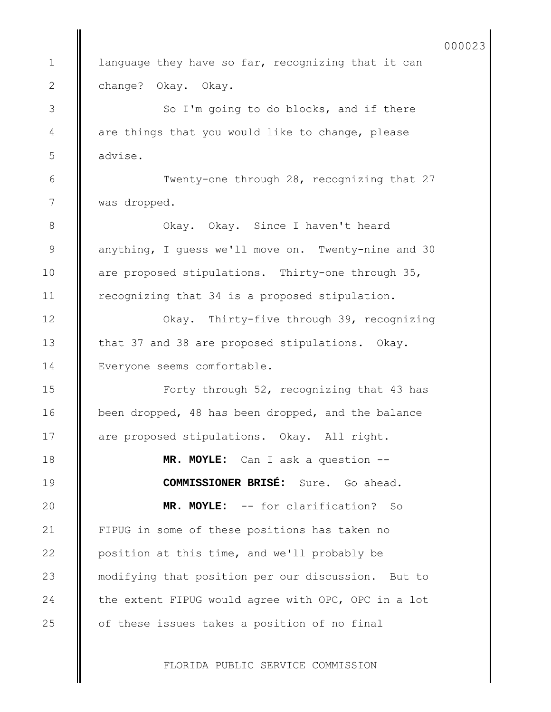language they have so far, recognizing that it can change? Okay. Okay. So I'm going to do blocks, and if there are things that you would like to change, please advise. Twenty-one through 28, recognizing that 27 was dropped. Okay. Okay. Since I haven't heard anything, I guess we'll move on. Twenty-nine and 30 are proposed stipulations. Thirty-one through 35, recognizing that 34 is a proposed stipulation. Okay. Thirty-five through 39, recognizing that 37 and 38 are proposed stipulations. Okay. Everyone seems comfortable. Forty through 52, recognizing that 43 has been dropped, 48 has been dropped, and the balance are proposed stipulations. Okay. All right. **MR. MOYLE:** Can I ask a question -- **COMMISSIONER BRISÉ:** Sure. Go ahead. **MR. MOYLE:** -- for clarification? So FIPUG in some of these positions has taken no position at this time, and we'll probably be modifying that position per our discussion. But to the extent FIPUG would agree with OPC, OPC in a lot of these issues takes a position of no final 1 2 3 4 5 6 7 8 9 10 11 12 13 14 15 16 17 18 19 20 21 22 23 24 25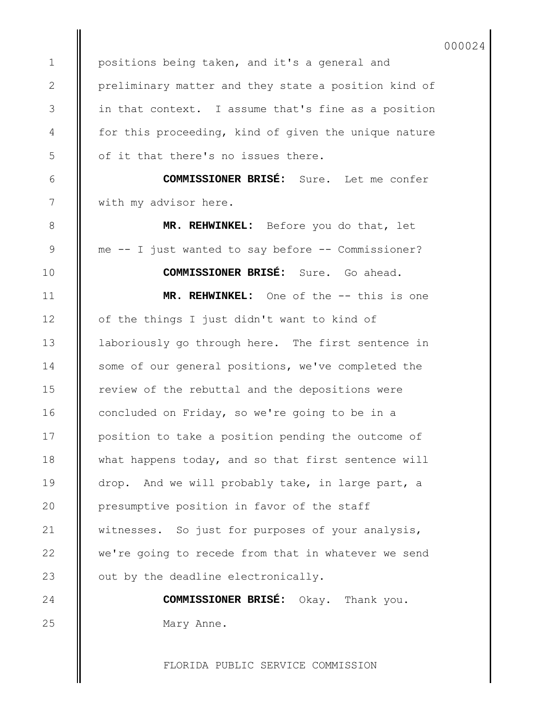000024

positions being taken, and it's a general and preliminary matter and they state a position kind of in that context. I assume that's fine as a position for this proceeding, kind of given the unique nature of it that there's no issues there.

**COMMISSIONER BRISÉ:** Sure. Let me confer with my advisor here.

**MR. REHWINKEL:** Before you do that, let me -- I just wanted to say before -- Commissioner?

**COMMISSIONER BRISÉ:** Sure. Go ahead. **MR. REHWINKEL:** One of the -- this is one of the things I just didn't want to kind of laboriously go through here. The first sentence in some of our general positions, we've completed the review of the rebuttal and the depositions were concluded on Friday, so we're going to be in a position to take a position pending the outcome of what happens today, and so that first sentence will drop. And we will probably take, in large part, a presumptive position in favor of the staff witnesses. So just for purposes of your analysis, we're going to recede from that in whatever we send out by the deadline electronically.

> **COMMISSIONER BRISÉ:** Okay. Thank you. Mary Anne.

FLORIDA PUBLIC SERVICE COMMISSION

1

2

3

4

5

6

7

8

9

10

11

12

13

14

15

16

17

24 25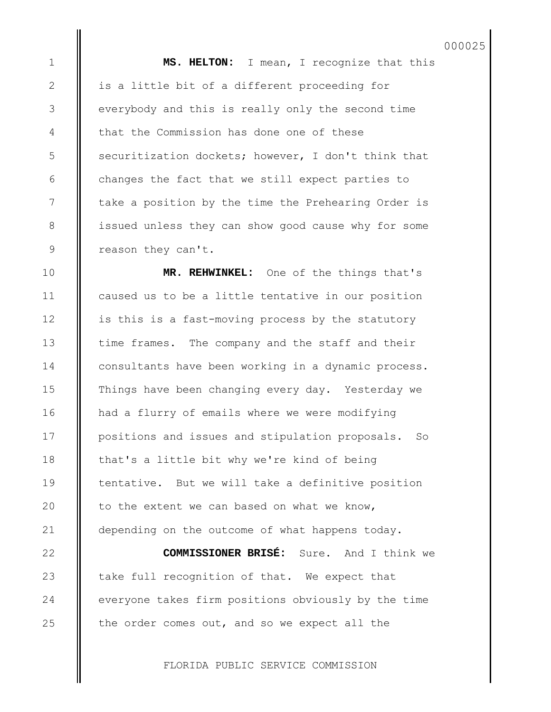**MS. HELTON:** I mean, I recognize that this is a little bit of a different proceeding for everybody and this is really only the second time that the Commission has done one of these securitization dockets; however, I don't think that changes the fact that we still expect parties to take a position by the time the Prehearing Order is issued unless they can show good cause why for some reason they can't.

1

2

3

4

5

6

7

8

9

10

11

12

13

14

15

16

17

18

19

20

21

22

23

24

25

**MR. REHWINKEL:** One of the things that's caused us to be a little tentative in our position is this is a fast-moving process by the statutory time frames. The company and the staff and their consultants have been working in a dynamic process. Things have been changing every day. Yesterday we had a flurry of emails where we were modifying positions and issues and stipulation proposals. So that's a little bit why we're kind of being tentative. But we will take a definitive position to the extent we can based on what we know, depending on the outcome of what happens today.

**COMMISSIONER BRISÉ:** Sure. And I think we take full recognition of that. We expect that everyone takes firm positions obviously by the time the order comes out, and so we expect all the

FLORIDA PUBLIC SERVICE COMMISSION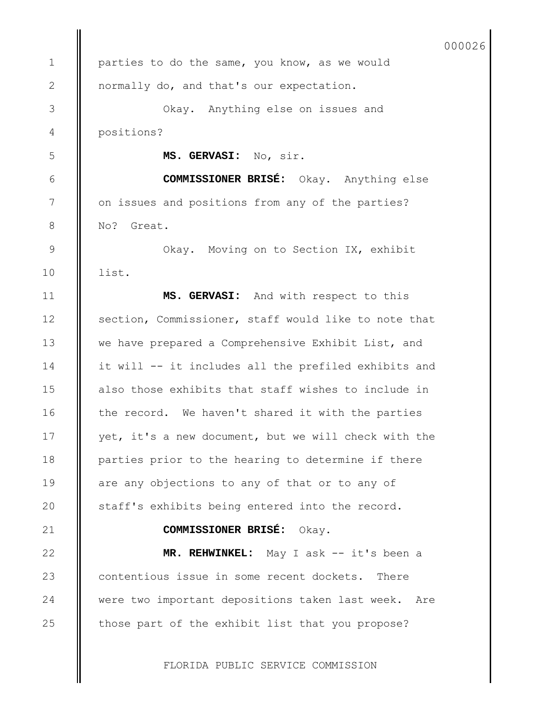FLORIDA PUBLIC SERVICE COMMISSION parties to do the same, you know, as we would normally do, and that's our expectation. Okay. Anything else on issues and positions? **MS. GERVASI:** No, sir. **COMMISSIONER BRISÉ:** Okay. Anything else on issues and positions from any of the parties? No? Great. Okay. Moving on to Section IX, exhibit list. **MS. GERVASI:** And with respect to this section, Commissioner, staff would like to note that we have prepared a Comprehensive Exhibit List, and it will -- it includes all the prefiled exhibits and also those exhibits that staff wishes to include in the record. We haven't shared it with the parties yet, it's a new document, but we will check with the parties prior to the hearing to determine if there are any objections to any of that or to any of staff's exhibits being entered into the record. **COMMISSIONER BRISÉ:** Okay. **MR. REHWINKEL:** May I ask -- it's been a contentious issue in some recent dockets. There were two important depositions taken last week. Are those part of the exhibit list that you propose? 1 2 3 4 5 6 7 8 9 10 11 12 13 14 15 16 17 18 19 20 21 22 23 24 25 000026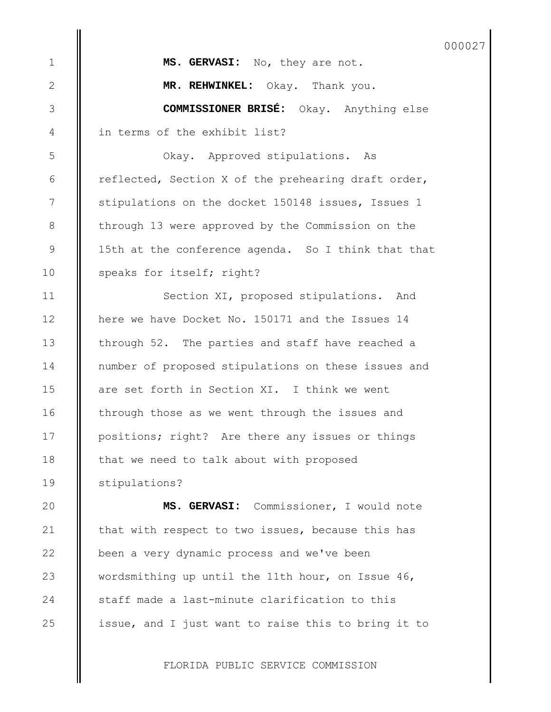**MS. GERVASI:** No, they are not. **MR. REHWINKEL:** Okay. Thank you. **COMMISSIONER BRISÉ:** Okay. Anything else in terms of the exhibit list? Okay. Approved stipulations. As reflected, Section X of the prehearing draft order, stipulations on the docket 150148 issues, Issues 1 through 13 were approved by the Commission on the 15th at the conference agenda. So I think that that speaks for itself; right? Section XI, proposed stipulations. And here we have Docket No. 150171 and the Issues 14 through 52. The parties and staff have reached a number of proposed stipulations on these issues and are set forth in Section XI. I think we went through those as we went through the issues and positions; right? Are there any issues or things that we need to talk about with proposed stipulations? **MS. GERVASI:** Commissioner, I would note that with respect to two issues, because this has been a very dynamic process and we've been wordsmithing up until the 11th hour, on Issue 46, 1 2 3 4 5 6 7 8 9 10 11 12 13 14 15 16 17 18 19 20 21 22 23

issue, and I just want to raise this to bring it to

staff made a last-minute clarification to this

24

25

FLORIDA PUBLIC SERVICE COMMISSION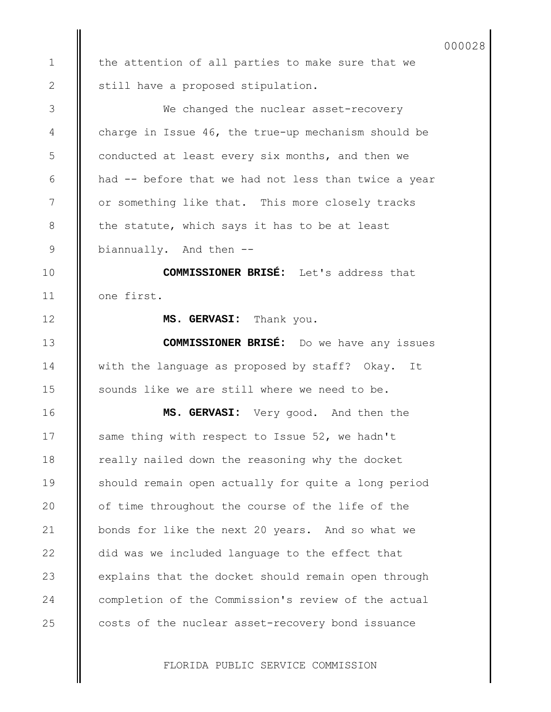the attention of all parties to make sure that we still have a proposed stipulation. We changed the nuclear asset-recovery charge in Issue 46, the true-up mechanism should be conducted at least every six months, and then we had -- before that we had not less than twice a year or something like that. This more closely tracks the statute, which says it has to be at least biannually. And then -- **COMMISSIONER BRISÉ:** Let's address that one first. **MS. GERVASI:** Thank you. **COMMISSIONER BRISÉ:** Do we have any issues with the language as proposed by staff? Okay. It sounds like we are still where we need to be. **MS. GERVASI:** Very good. And then the same thing with respect to Issue 52, we hadn't really nailed down the reasoning why the docket should remain open actually for quite a long period of time throughout the course of the life of the bonds for like the next 20 years. And so what we did was we included language to the effect that explains that the docket should remain open through completion of the Commission's review of the actual costs of the nuclear asset-recovery bond issuance 1 2 3 4 5 6 7 8 9 10 11 12 13 14 15 16 17 18 19 20 21 22 23 24 25

000028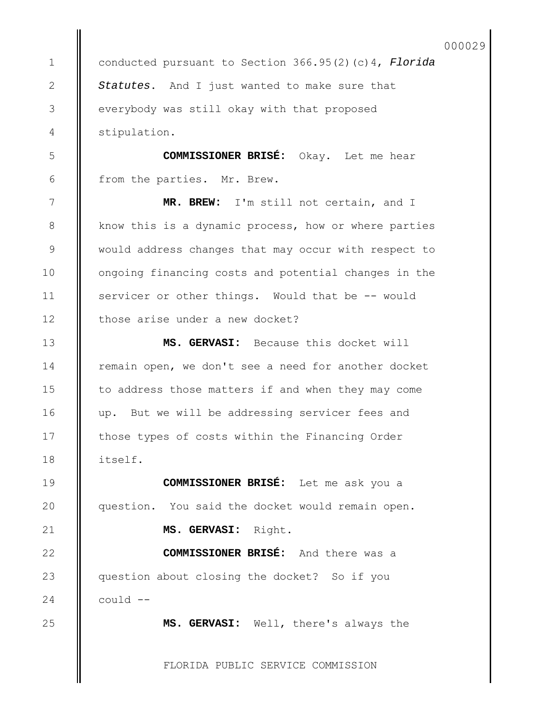000029

conducted pursuant to Section 366.95(2)(c)4, *Florida Statutes*. And I just wanted to make sure that everybody was still okay with that proposed stipulation.

**COMMISSIONER BRISÉ:** Okay. Let me hear from the parties. Mr. Brew.

**MR. BREW:** I'm still not certain, and I know this is a dynamic process, how or where parties would address changes that may occur with respect to ongoing financing costs and potential changes in the servicer or other things. Would that be -- would those arise under a new docket?

**MS. GERVASI:** Because this docket will remain open, we don't see a need for another docket to address those matters if and when they may come up. But we will be addressing servicer fees and those types of costs within the Financing Order itself.

**COMMISSIONER BRISÉ:** Let me ask you a question. You said the docket would remain open. **MS. GERVASI:** Right. **COMMISSIONER BRISÉ:** And there was a question about closing the docket? So if you

could --

1

2

3

4

5

6

7

8

9

10

11

12

13

14

15

16

17

18

19

20

21

22

23

24

25

**MS. GERVASI:** Well, there's always the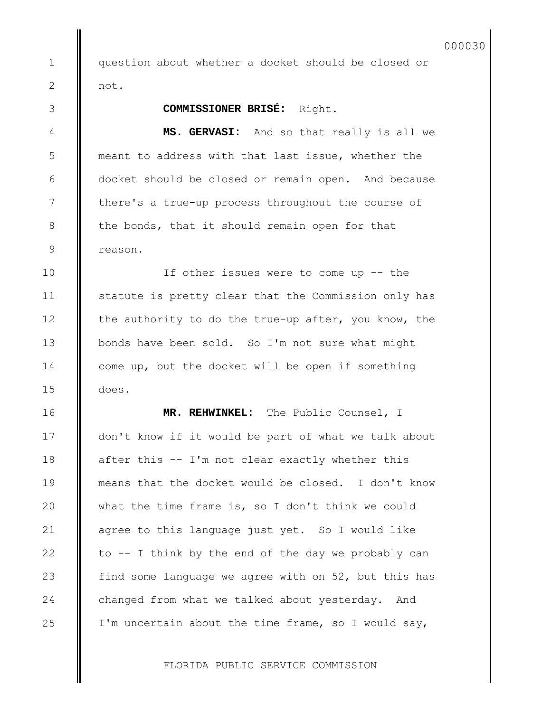question about whether a docket should be closed or not.

# **COMMISSIONER BRISÉ:** Right.

1

2

3

4

5

6

7

8

9

10

11

12

13

14

15

16

17

18

19

20

21

22

23

24

25

**MS. GERVASI:** And so that really is all we meant to address with that last issue, whether the docket should be closed or remain open. And because there's a true-up process throughout the course of the bonds, that it should remain open for that reason.

If other issues were to come up -- the statute is pretty clear that the Commission only has the authority to do the true-up after, you know, the bonds have been sold. So I'm not sure what might come up, but the docket will be open if something does.

**MR. REHWINKEL:** The Public Counsel, I don't know if it would be part of what we talk about after this -- I'm not clear exactly whether this means that the docket would be closed. I don't know what the time frame is, so I don't think we could agree to this language just yet. So I would like to -- I think by the end of the day we probably can find some language we agree with on 52, but this has changed from what we talked about yesterday. And I'm uncertain about the time frame, so I would say,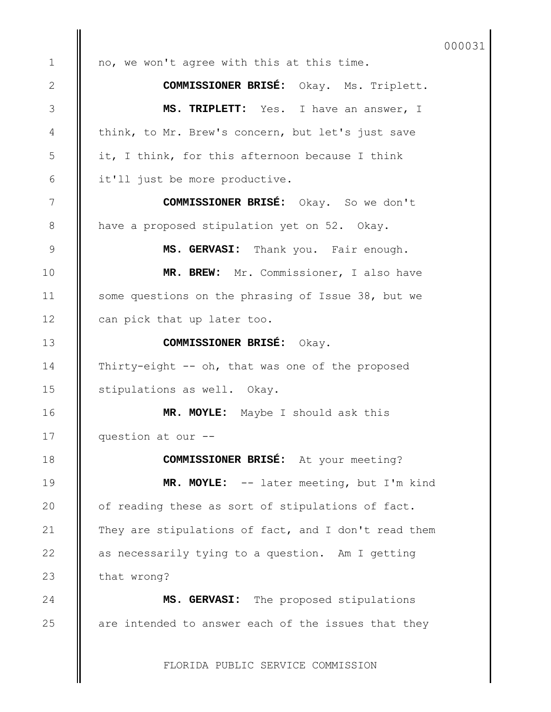no, we won't agree with this at this time. **COMMISSIONER BRISÉ:** Okay. Ms. Triplett. **MS. TRIPLETT:** Yes. I have an answer, I think, to Mr. Brew's concern, but let's just save it, I think, for this afternoon because I think it'll just be more productive. **COMMISSIONER BRISÉ:** Okay. So we don't have a proposed stipulation yet on 52. Okay. **MS. GERVASI:** Thank you. Fair enough. **MR. BREW:** Mr. Commissioner, I also have some questions on the phrasing of Issue 38, but we can pick that up later too. **COMMISSIONER BRISÉ:** Okay. Thirty-eight -- oh, that was one of the proposed stipulations as well. Okay. **MR. MOYLE:** Maybe I should ask this question at our -- **COMMISSIONER BRISÉ:** At your meeting? **MR. MOYLE:** -- later meeting, but I'm kind of reading these as sort of stipulations of fact. They are stipulations of fact, and I don't read them as necessarily tying to a question. Am I getting that wrong? **MS. GERVASI:** The proposed stipulations are intended to answer each of the issues that they 1 2 3 4 5 6 7 8 9 10 11 12 13 14 15 16 17 18 19 20 21 22 23 24 25 000031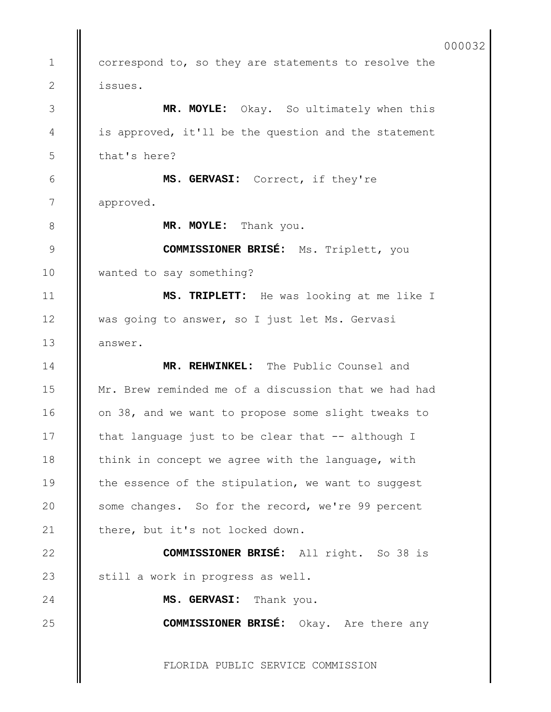FLORIDA PUBLIC SERVICE COMMISSION correspond to, so they are statements to resolve the issues. **MR. MOYLE:** Okay. So ultimately when this is approved, it'll be the question and the statement that's here? **MS. GERVASI:** Correct, if they're approved. **MR. MOYLE:** Thank you. **COMMISSIONER BRISÉ:** Ms. Triplett, you wanted to say something? **MS. TRIPLETT:** He was looking at me like I was going to answer, so I just let Ms. Gervasi answer. **MR. REHWINKEL:** The Public Counsel and Mr. Brew reminded me of a discussion that we had had on 38, and we want to propose some slight tweaks to that language just to be clear that -- although I think in concept we agree with the language, with the essence of the stipulation, we want to suggest some changes. So for the record, we're 99 percent there, but it's not locked down. **COMMISSIONER BRISÉ:** All right. So 38 is still a work in progress as well. **MS. GERVASI:** Thank you. **COMMISSIONER BRISÉ:** Okay. Are there any 1 2 3 4 5 6 7 8 9 10 11 12 13 14 15 16 17 18 19 20 21 22 23 24 25 000032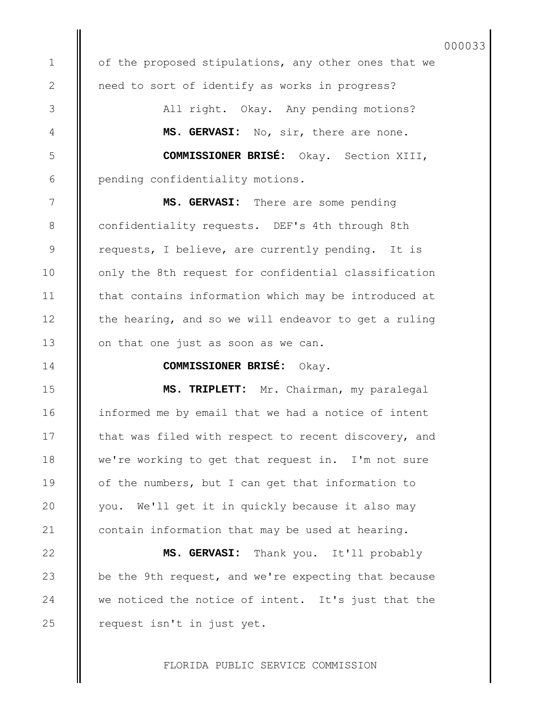of the proposed stipulations, any other ones that we need to sort of identify as works in progress?

> All right. Okay. Any pending motions? **MS. GERVASI:** No, sir, there are none.

**COMMISSIONER BRISÉ:** Okay. Section XIII, pending confidentiality motions.

**MS. GERVASI:** There are some pending confidentiality requests. DEF's 4th through 8th requests, I believe, are currently pending. It is only the 8th request for confidential classification that contains information which may be introduced at the hearing, and so we will endeavor to get a ruling on that one just as soon as we can.

**COMMISSIONER BRISÉ:** Okay.

**MS. TRIPLETT:** Mr. Chairman, my paralegal informed me by email that we had a notice of intent that was filed with respect to recent discovery, and we're working to get that request in. I'm not sure of the numbers, but I can get that information to you. We'll get it in quickly because it also may contain information that may be used at hearing.

**MS. GERVASI:** Thank you. It'll probably be the 9th request, and we're expecting that because we noticed the notice of intent. It's just that the request isn't in just yet.

FLORIDA PUBLIC SERVICE COMMISSION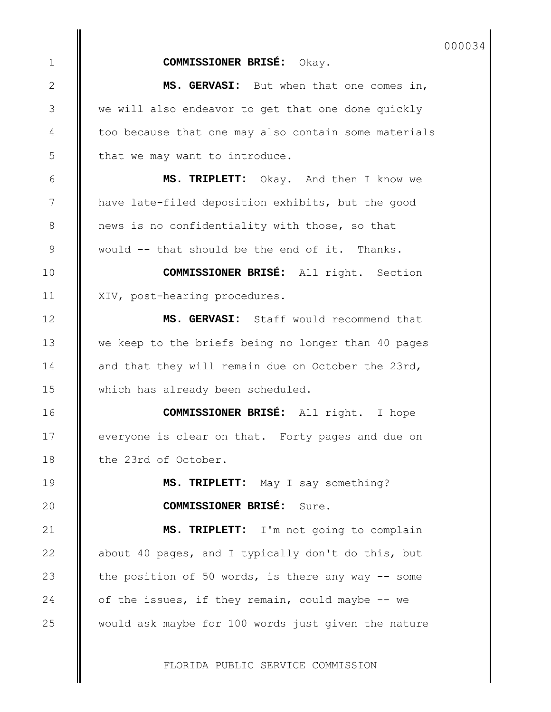000034

## **COMMISSIONER BRISÉ:** Okay.

**MS. GERVASI:** But when that one comes in, we will also endeavor to get that one done quickly too because that one may also contain some materials that we may want to introduce.

**MS. TRIPLETT:** Okay. And then I know we have late-filed deposition exhibits, but the good news is no confidentiality with those, so that would -- that should be the end of it. Thanks.

**COMMISSIONER BRISÉ:** All right. Section XIV, post-hearing procedures.

**MS. GERVASI:** Staff would recommend that we keep to the briefs being no longer than 40 pages and that they will remain due on October the 23rd, which has already been scheduled.

**COMMISSIONER BRISÉ:** All right. I hope everyone is clear on that. Forty pages and due on the 23rd of October.

> **MS. TRIPLETT:** May I say something? **COMMISSIONER BRISÉ:** Sure.

**MS. TRIPLETT:** I'm not going to complain about 40 pages, and I typically don't do this, but the position of 50 words, is there any way  $-$  some of the issues, if they remain, could maybe -- we would ask maybe for 100 words just given the nature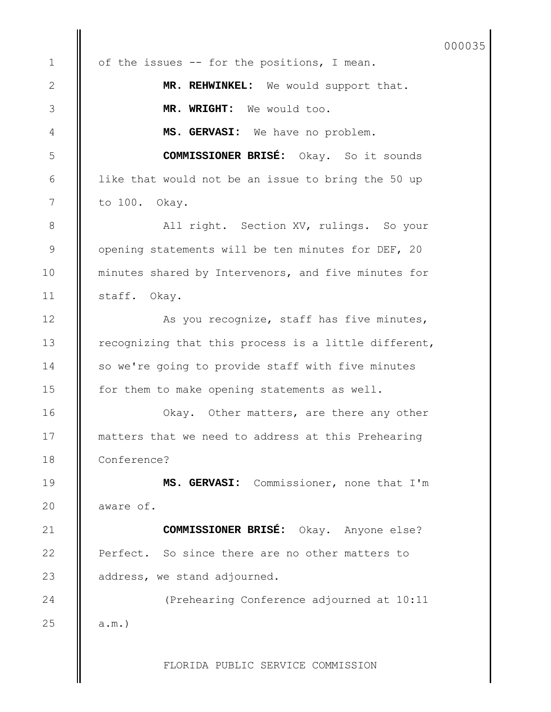of the issues -- for the positions, I mean. **MR. REHWINKEL:** We would support that. **MR. WRIGHT:** We would too. **MS. GERVASI:** We have no problem. **COMMISSIONER BRISÉ:** Okay. So it sounds like that would not be an issue to bring the 50 up to 100. Okay. All right. Section XV, rulings. So your opening statements will be ten minutes for DEF, 20 minutes shared by Intervenors, and five minutes for staff. Okay. As you recognize, staff has five minutes, recognizing that this process is a little different, so we're going to provide staff with five minutes for them to make opening statements as well. Okay. Other matters, are there any other matters that we need to address at this Prehearing Conference? **MS. GERVASI:** Commissioner, none that I'm aware of. **COMMISSIONER BRISÉ:** Okay. Anyone else? Perfect. So since there are no other matters to address, we stand adjourned. (Prehearing Conference adjourned at 10:11 a.m.) 1 2 3 4 5 6 7 8 9 10 11 12 13 14 15 16 17 18 19 20 21 22 23 24 25 000035